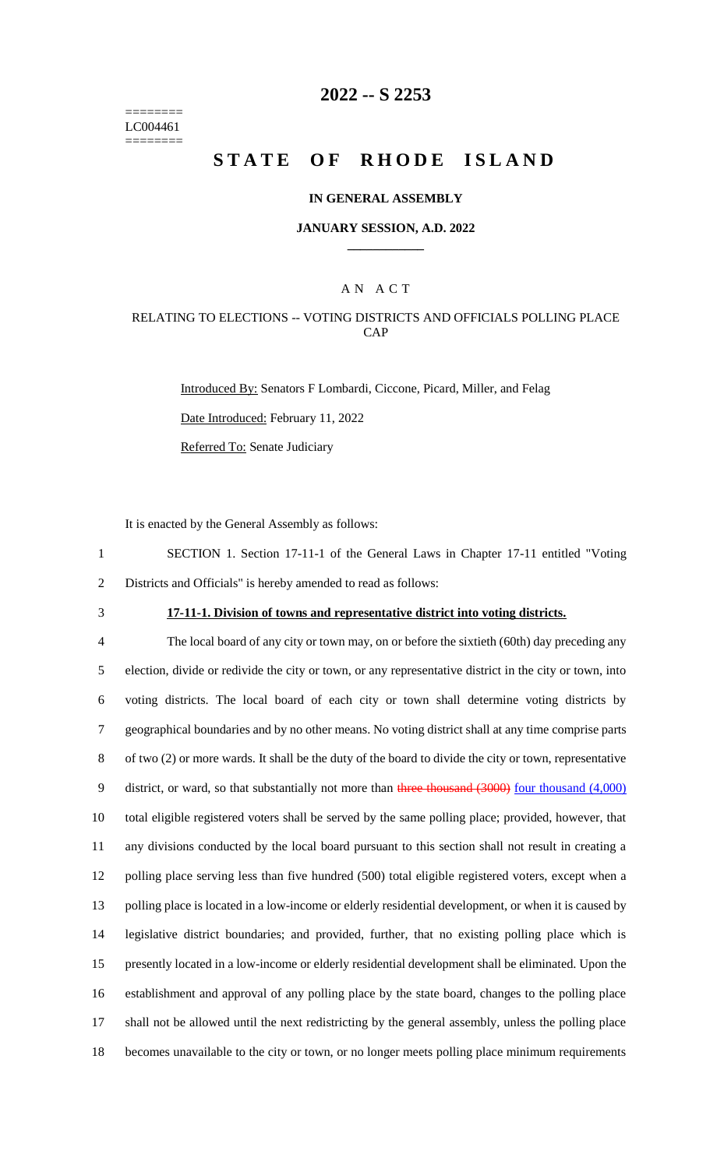======== LC004461 ========

## **2022 -- S 2253**

# **STATE OF RHODE ISLAND**

#### **IN GENERAL ASSEMBLY**

#### **JANUARY SESSION, A.D. 2022 \_\_\_\_\_\_\_\_\_\_\_\_**

### A N A C T

### RELATING TO ELECTIONS -- VOTING DISTRICTS AND OFFICIALS POLLING PLACE CAP

Introduced By: Senators F Lombardi, Ciccone, Picard, Miller, and Felag Date Introduced: February 11, 2022 Referred To: Senate Judiciary

It is enacted by the General Assembly as follows:

1 SECTION 1. Section 17-11-1 of the General Laws in Chapter 17-11 entitled "Voting 2 Districts and Officials" is hereby amended to read as follows:

## 3 **17-11-1. Division of towns and representative district into voting districts.**

 The local board of any city or town may, on or before the sixtieth (60th) day preceding any election, divide or redivide the city or town, or any representative district in the city or town, into voting districts. The local board of each city or town shall determine voting districts by geographical boundaries and by no other means. No voting district shall at any time comprise parts of two (2) or more wards. It shall be the duty of the board to divide the city or town, representative 9 district, or ward, so that substantially not more than three thousand (3000) four thousand (4,000) total eligible registered voters shall be served by the same polling place; provided, however, that any divisions conducted by the local board pursuant to this section shall not result in creating a polling place serving less than five hundred (500) total eligible registered voters, except when a polling place is located in a low-income or elderly residential development, or when it is caused by legislative district boundaries; and provided, further, that no existing polling place which is presently located in a low-income or elderly residential development shall be eliminated. Upon the establishment and approval of any polling place by the state board, changes to the polling place shall not be allowed until the next redistricting by the general assembly, unless the polling place becomes unavailable to the city or town, or no longer meets polling place minimum requirements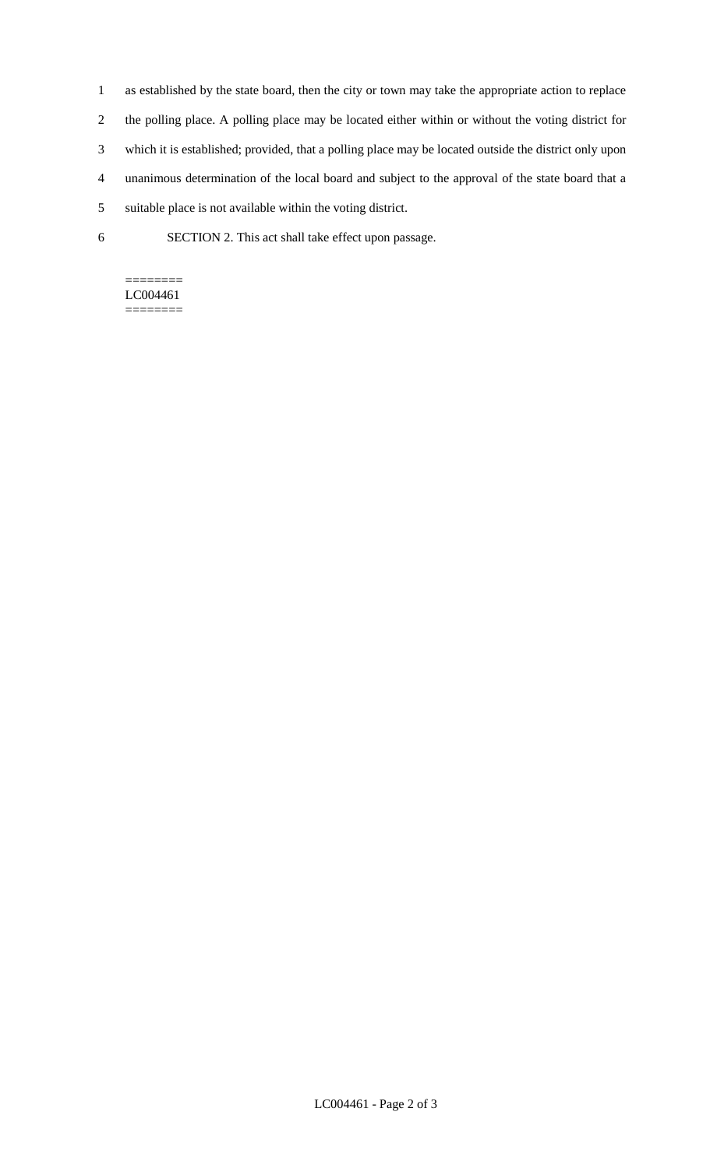- 1 as established by the state board, then the city or town may take the appropriate action to replace
- 2 the polling place. A polling place may be located either within or without the voting district for
- 3 which it is established; provided, that a polling place may be located outside the district only upon
- 4 unanimous determination of the local board and subject to the approval of the state board that a
- 5 suitable place is not available within the voting district.
- 6 SECTION 2. This act shall take effect upon passage.

#### ======== LC004461 ========